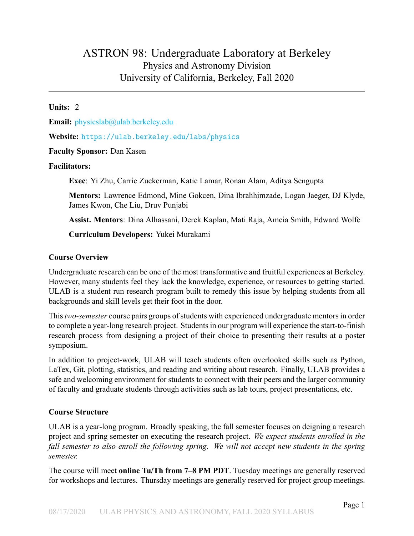# ASTRON 98: Undergraduate Laboratory at Berkeley Physics and Astronomy Division University of California, Berkeley, Fall 2020

#### **Units:** 2

**Email:** [physicslab@ulab.berkeley.edu](mailto:physicslab@ulab.berkeley.edu)

**Website:** <https://ulab.berkeley.edu/labs/physics>

#### **Faculty Sponsor:** Dan Kasen

#### **Facilitators:**

**Exec**: Yi Zhu, Carrie Zuckerman, Katie Lamar, Ronan Alam, Aditya Sengupta

**Mentors:** Lawrence Edmond, Mine Gokcen, Dina Ibrahhimzade, Logan Jaeger, DJ Klyde, James Kwon, Che Liu, Druv Punjabi

**Assist. Mentors**: Dina Alhassani, Derek Kaplan, Mati Raja, Ameia Smith, Edward Wolfe

**Curriculum Developers:** Yukei Murakami

#### **Course Overview**

Undergraduate research can be one of the most transformative and fruitful experiences at Berkeley. However, many students feel they lack the knowledge, experience, or resources to getting started. ULAB is a student run research program built to remedy this issue by helping students from all backgrounds and skill levels get their foot in the door.

This*two-semester* course pairs groups of students with experienced undergraduate mentors in order to complete a year-long research project. Students in our program will experience the start-to-finish research process from designing a project of their choice to presenting their results at a poster symposium.

In addition to project-work, ULAB will teach students often overlooked skills such as Python, LaTex, Git, plotting, statistics, and reading and writing about research. Finally, ULAB provides a safe and welcoming environment for students to connect with their peers and the larger community of faculty and graduate students through activities such as lab tours, project presentations, etc.

#### **Course Structure**

ULAB is a year-long program. Broadly speaking, the fall semester focuses on deigning a research project and spring semester on executing the research project. *We expect students enrolled in the fall semester to also enroll the following spring. We will not accept new students in the spring semester.*

The course will meet **online Tu/Th from 7–8 PM PDT**. Tuesday meetings are generally reserved for workshops and lectures. Thursday meetings are generally reserved for project group meetings.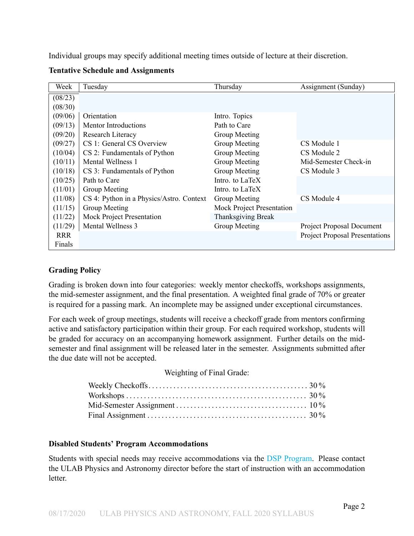Individual groups may specify additional meeting times outside of lecture at their discretion.

| Week       | Tuesday                                  | Thursday                         | Assignment (Sunday)                   |
|------------|------------------------------------------|----------------------------------|---------------------------------------|
| (08/23)    |                                          |                                  |                                       |
| (08/30)    |                                          |                                  |                                       |
| (09/06)    | Orientation                              | Intro. Topics                    |                                       |
| (09/13)    | <b>Mentor Introductions</b>              | Path to Care                     |                                       |
| (09/20)    | Research Literacy                        | Group Meeting                    |                                       |
| (09/27)    | CS 1: General CS Overview                | Group Meeting                    | CS Module 1                           |
| (10/04)    | CS 2: Fundamentals of Python             | Group Meeting                    | CS Module 2                           |
| (10/11)    | Mental Wellness 1                        | Group Meeting                    | Mid-Semester Check-in                 |
| (10/18)    | CS 3: Fundamentals of Python             | Group Meeting                    | CS Module 3                           |
| (10/25)    | Path to Care                             | Intro. to LaTeX                  |                                       |
| (11/01)    | Group Meeting                            | Intro. to LaTeX                  |                                       |
| (11/08)    | CS 4: Python in a Physics/Astro. Context | Group Meeting                    | CS Module 4                           |
| (11/15)    | Group Meeting                            | <b>Mock Project Presentation</b> |                                       |
| (11/22)    | Mock Project Presentation                | Thanksgiving Break               |                                       |
| (11/29)    | Mental Wellness 3                        | Group Meeting                    | Project Proposal Document             |
| <b>RRR</b> |                                          |                                  | <b>Project Proposal Presentations</b> |
| Finals     |                                          |                                  |                                       |

#### **Tentative Schedule and Assignments**

# **Grading Policy**

Grading is broken down into four categories: weekly mentor checkoffs, workshops assignments, the mid-semester assignment, and the final presentation. A weighted final grade of 70% or greater is required for a passing mark. An incomplete may be assigned under exceptional circumstances.

For each week of group meetings, students will receive a checkoff grade from mentors confirming active and satisfactory participation within their group. For each required workshop, students will be graded for accuracy on an accompanying homework assignment. Further details on the midsemester and final assignment will be released later in the semester. Assignments submitted after the due date will not be accepted.

## Weighting of Final Grade:

## **Disabled Students' Program Accommodations**

Students with special needs may receive accommodations via the [DSP Program.](https://dsp.berkeley.edu/) Please contact the ULAB Physics and Astronomy director before the start of instruction with an accommodation **letter**